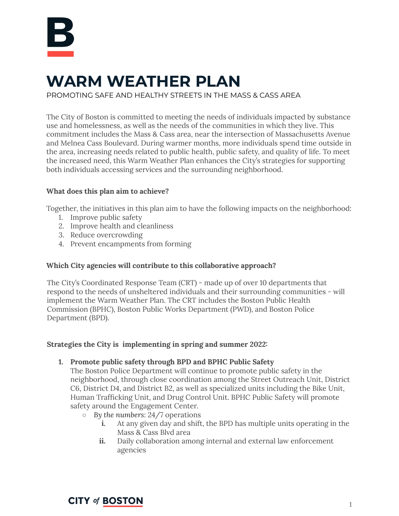

# **WARM WEATHER PLAN**

PROMOTING SAFE AND HEALTHY STREETS IN THE MASS & CASS AREA

The City of Boston is committed to meeting the needs of individuals impacted by substance use and homelessness, as well as the needs of the communities in which they live. This commitment includes the Mass & Cass area, near the intersection of Massachusetts Avenue and Melnea Cass Boulevard. During warmer months, more individuals spend time outside in the area, increasing needs related to public health, public safety, and quality of life. To meet the increased need, this Warm Weather Plan enhances the City's strategies for supporting both individuals accessing services and the surrounding neighborhood.

## **What does this plan aim to achieve?**

Together, the initiatives in this plan aim to have the following impacts on the neighborhood:

- 1. Improve public safety
- 2. Improve health and cleanliness
- 3. Reduce overcrowding
- 4. Prevent encampments from forming

## **Which City agencies will contribute to this collaborative approach?**

The City's Coordinated Response Team (CRT) - made up of over 10 departments that respond to the needs of unsheltered individuals and their surrounding communities - will implement the Warm Weather Plan. The CRT includes the Boston Public Health Commission (BPHC), Boston Public Works Department (PWD), and Boston Police Department (BPD).

## **Strategies the City is implementing in spring and summer 2022:**

**1. Promote public safety through BPD and BPHC Public Safety**

The Boston Police Department will continue to promote public safety in the neighborhood, through close coordination among the Street Outreach Unit, District C6, District D4, and District B2, as well as specialized units including the Bike Unit, Human Trafficking Unit, and Drug Control Unit. BPHC Public Safety will promote safety around the Engagement Center.

- **○** *By the numbers:* 24/7 operations
	- **i.** At any given day and shift, the BPD has multiple units operating in the Mass & Cass Blvd area
	- **ii.** Daily collaboration among internal and external law enforcement agencies

**CITY of BOSTON**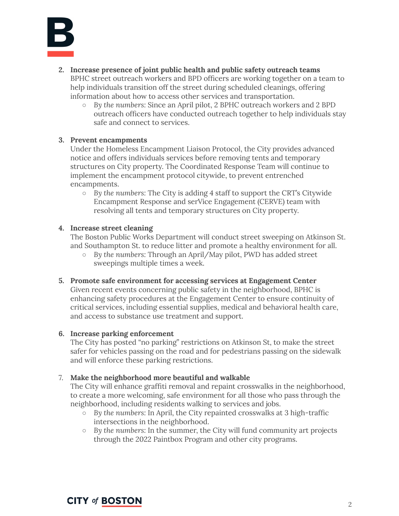

- **2. Increase presence of joint public health and public safety outreach teams** BPHC street outreach workers and BPD officers are working together on a team to help individuals transition off the street during scheduled cleanings, offering information about how to access other services and transportation.
	- **○** *By the numbers:* Since an April pilot, 2 BPHC outreach workers and 2 BPD outreach officers have conducted outreach together to help individuals stay safe and connect to services.

#### **3. Prevent encampments**

Under the Homeless Encampment Liaison Protocol, the City provides advanced notice and offers individuals services before removing tents and temporary structures on City property. The Coordinated Response Team will continue to implement the encampment protocol citywide, to prevent entrenched encampments.

**○** *By the numbers:* The City is adding 4 staff to support the CRT's Citywide Encampment Response and serVice Engagement (CERVE) team with resolving all tents and temporary structures on City property.

#### **4. Increase street cleaning**

The Boston Public Works Department will conduct street sweeping on Atkinson St. and Southampton St. to reduce litter and promote a healthy environment for all.

**○** *By the numbers:* Through an April/May pilot, PWD has added street sweepings multiple times a week.

#### **5. Promote safe environment for accessing services at Engagement Center**

Given recent events concerning public safety in the neighborhood, BPHC is enhancing safety procedures at the Engagement Center to ensure continuity of critical services, including essential supplies, medical and behavioral health care, and access to substance use treatment and support.

#### **6. Increase parking enforcement**

The City has posted "no parking" restrictions on Atkinson St, to make the street safer for vehicles passing on the road and for pedestrians passing on the sidewalk and will enforce these parking restrictions.

#### 7. **Make the neighborhood more beautiful and walkable**

The City will enhance graffiti removal and repaint crosswalks in the neighborhood, to create a more welcoming, safe environment for all those who pass through the neighborhood, including residents walking to services and jobs.

- *By the numbers:* In April, the City repainted crosswalks at 3 high-traffic intersections in the neighborhood.
- *By the numbers:* In the summer, the City will fund community art projects through the 2022 Paintbox Program and other city programs.